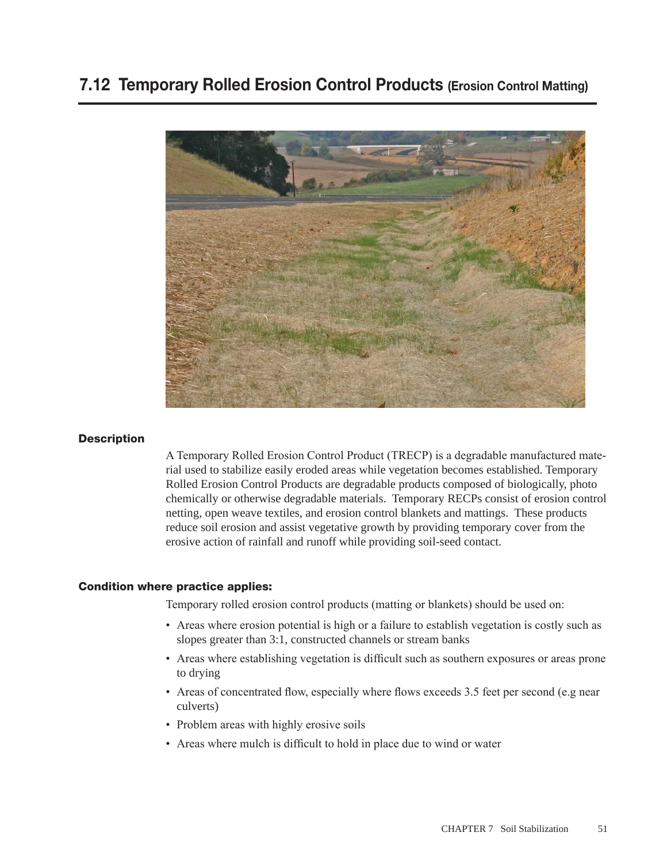### 7.12 Temporary Rolled Erosion Control Products (Erosion Control Matting)



#### **Description**

A Temporary Rolled Erosion Control Product (TRECP) is a degradable manufactured material used to stabilize easily eroded areas while vegetation becomes established. Temporary Rolled Erosion Control Products are degradable products composed of biologically, photo chemically or otherwise degradable materials. Temporary RECPs consist of erosion control netting, open weave textiles, and erosion control blankets and mattings. These products reduce soil erosion and assist vegetative growth by providing temporary cover from the erosive action of rainfall and runoff while providing soil-seed contact.

#### Condition where practice applies:

Temporary rolled erosion control products (matting or blankets) should be used on:

- Areas where erosion potential is high or a failure to establish vegetation is costly such as slopes greater than 3:1, constructed channels or stream banks
- Areas where establishing vegetation is difficult such as southern exposures or areas prone to drying
- Areas of concentrated flow, especially where flows exceeds 3.5 feet per second (e.g near culverts)
- Problem areas with highly erosive soils
- Areas where mulch is difficult to hold in place due to wind or water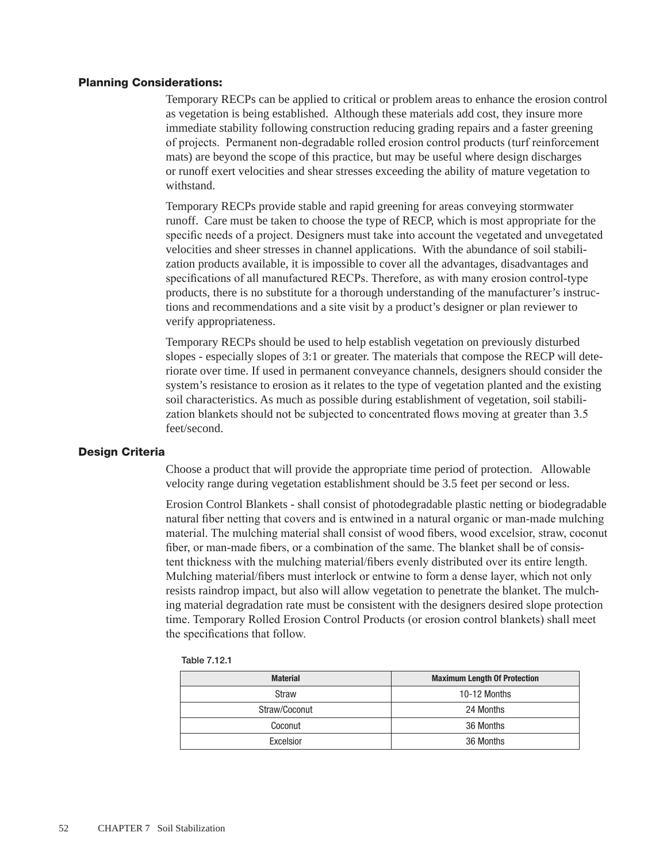#### Planning Considerations:

Temporary RECPs can be applied to critical or problem areas to enhance the erosion control as vegetation is being established. Although these materials add cost, they insure more immediate stability following construction reducing grading repairs and a faster greening of projects. Permanent non-degradable rolled erosion control products (turf reinforcement mats) are beyond the scope of this practice, but may be useful where design discharges or runoff exert velocities and shear stresses exceeding the ability of mature vegetation to withstand.

Temporary RECPs provide stable and rapid greening for areas conveying stormwater runoff. Care must be taken to choose the type of RECP, which is most appropriate for the specific needs of a project. Designers must take into account the vegetated and unvegetated velocities and sheer stresses in channel applications. With the abundance of soil stabilization products available, it is impossible to cover all the advantages, disadvantages and specifications of all manufactured RECPs. Therefore, as with many erosion control-type products, there is no substitute for a thorough understanding of the manufacturer's instructions and recommendations and a site visit by a product's designer or plan reviewer to verify appropriateness.

Temporary RECPs should be used to help establish vegetation on previously disturbed slopes - especially slopes of 3:1 or greater. The materials that compose the RECP will deteriorate over time. If used in permanent conveyance channels, designers should consider the system's resistance to erosion as it relates to the type of vegetation planted and the existing soil characteristics. As much as possible during establishment of vegetation, soil stabilization blankets should not be subjected to concentrated flows moving at greater than 3.5 feet/second.

#### Design Criteria

Choose a product that will provide the appropriate time period of protection. Allowable velocity range during vegetation establishment should be 3.5 feet per second or less.

Erosion Control Blankets - shall consist of photodegradable plastic netting or biodegradable natural fiber netting that covers and is entwined in a natural organic or man-made mulching material. The mulching material shall consist of wood fibers, wood excelsior, straw, coconut fiber, or man-made fibers, or a combination of the same. The blanket shall be of consistent thickness with the mulching material/fibers evenly distributed over its entire length. Mulching material/fibers must interlock or entwine to form a dense layer, which not only resists raindrop impact, but also will allow vegetation to penetrate the blanket. The mulching material degradation rate must be consistent with the designers desired slope protection time. Temporary Rolled Erosion Control Products (or erosion control blankets) shall meet the specifications that follow.

| Table 7.12.1 |
|--------------|
|              |

| <b>Material</b> | <b>Maximum Length Of Protection</b> |
|-----------------|-------------------------------------|
| Straw           | 10-12 Months                        |
| Straw/Coconut   | 24 Months                           |
| Coconut         | 36 Months                           |
| Excelsior       | 36 Months                           |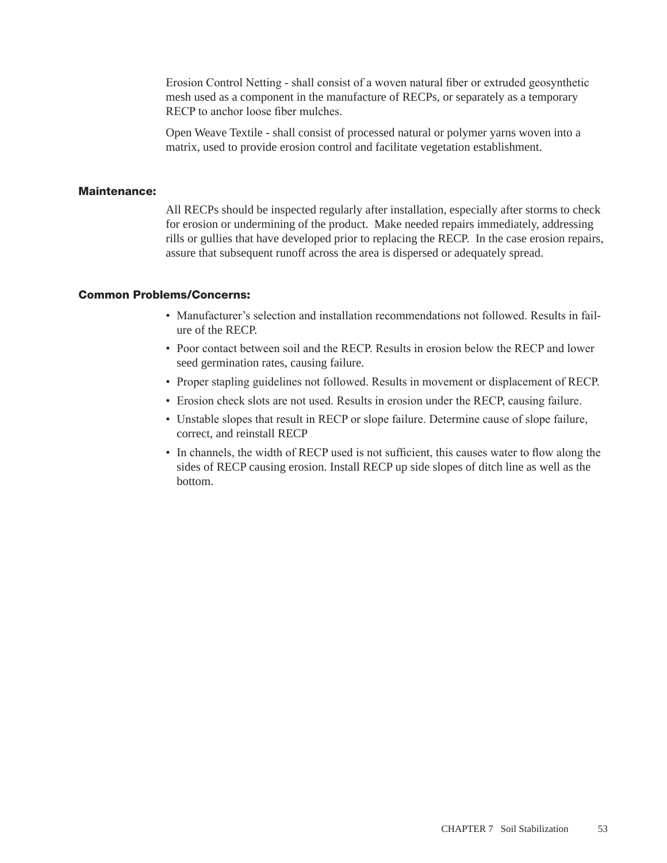Erosion Control Netting - shall consist of a woven natural fiber or extruded geosynthetic mesh used as a component in the manufacture of RECPs, or separately as a temporary RECP to anchor loose fiber mulches.

Open Weave Textile - shall consist of processed natural or polymer yarns woven into a matrix, used to provide erosion control and facilitate vegetation establishment.

### Maintenance:

All RECPs should be inspected regularly after installation, especially after storms to check for erosion or undermining of the product. Make needed repairs immediately, addressing rills or gullies that have developed prior to replacing the RECP. In the case erosion repairs, assure that subsequent runoff across the area is dispersed or adequately spread.

#### Common Problems/Concerns:

- Manufacturer's selection and installation recommendations not followed. Results in failure of the RECP.
- Poor contact between soil and the RECP. Results in erosion below the RECP and lower seed germination rates, causing failure.
- Proper stapling guidelines not followed. Results in movement or displacement of RECP.
- Erosion check slots are not used. Results in erosion under the RECP, causing failure.
- Unstable slopes that result in RECP or slope failure. Determine cause of slope failure, correct, and reinstall RECP
- In channels, the width of RECP used is not sufficient, this causes water to flow along the sides of RECP causing erosion. Install RECP up side slopes of ditch line as well as the bottom.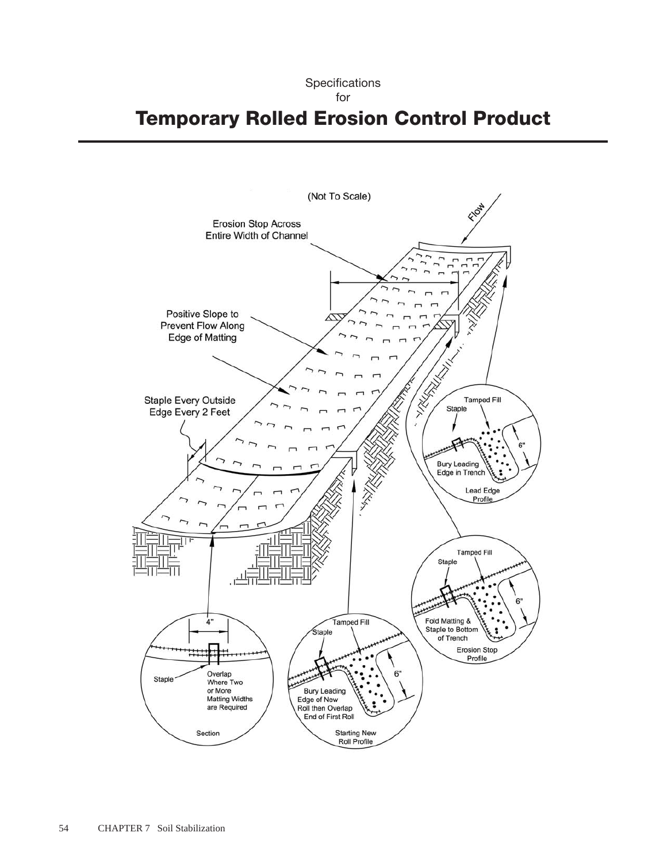## Temporary Rolled Erosion Control Product